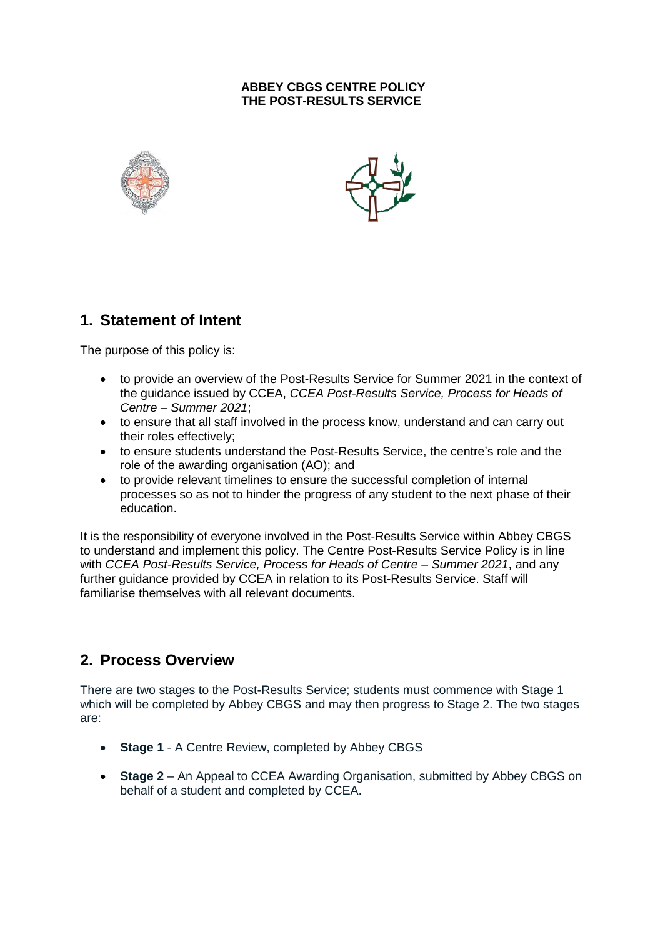#### **ABBEY CBGS CENTRE POLICY THE POST-RESULTS SERVICE**





# **1. Statement of Intent**

The purpose of this policy is:

- to provide an overview of the Post-Results Service for Summer 2021 in the context of the guidance issued by CCEA, *CCEA Post-Results Service, Process for Heads of Centre – Summer 2021*;
- to ensure that all staff involved in the process know, understand and can carry out their roles effectively;
- to ensure students understand the Post-Results Service, the centre's role and the role of the awarding organisation (AO); and
- to provide relevant timelines to ensure the successful completion of internal processes so as not to hinder the progress of any student to the next phase of their education.

It is the responsibility of everyone involved in the Post-Results Service within Abbey CBGS to understand and implement this policy. The Centre Post-Results Service Policy is in line with *CCEA Post-Results Service, Process for Heads of Centre – Summer 2021*, and any further guidance provided by CCEA in relation to its Post-Results Service. Staff will familiarise themselves with all relevant documents.

### **2. Process Overview**

There are two stages to the Post-Results Service; students must commence with Stage 1 which will be completed by Abbey CBGS and may then progress to Stage 2. The two stages are:

- **Stage 1** A Centre Review, completed by Abbey CBGS
- **Stage 2** An Appeal to CCEA Awarding Organisation, submitted by Abbey CBGS on behalf of a student and completed by CCEA.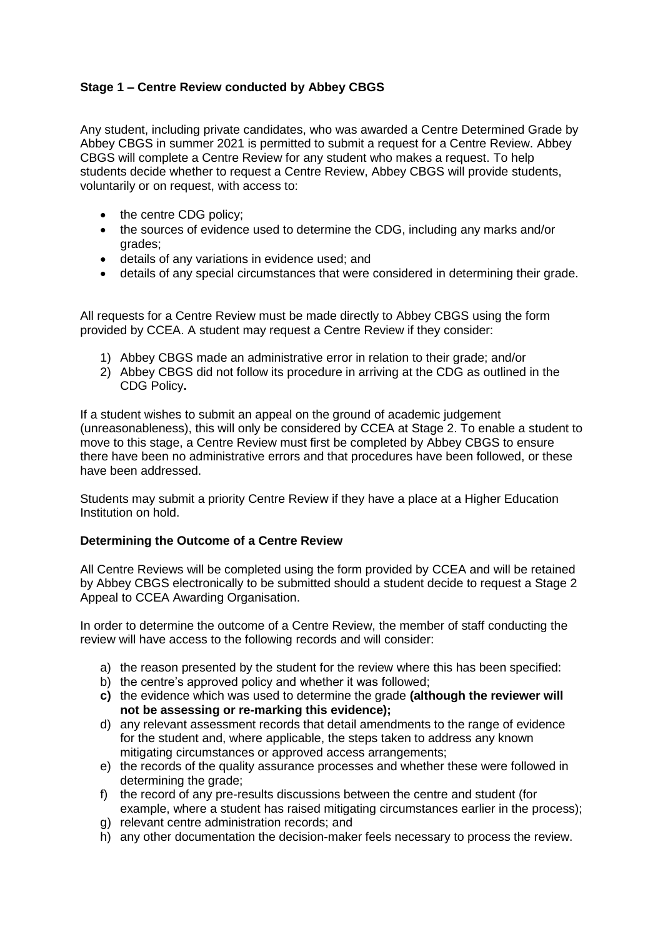#### **Stage 1 – Centre Review conducted by Abbey CBGS**

Any student, including private candidates, who was awarded a Centre Determined Grade by Abbey CBGS in summer 2021 is permitted to submit a request for a Centre Review. Abbey CBGS will complete a Centre Review for any student who makes a request. To help students decide whether to request a Centre Review, Abbey CBGS will provide students, voluntarily or on request, with access to:

- the centre CDG policy;
- the sources of evidence used to determine the CDG, including any marks and/or grades;
- details of any variations in evidence used; and
- details of any special circumstances that were considered in determining their grade.

All requests for a Centre Review must be made directly to Abbey CBGS using the form provided by CCEA. A student may request a Centre Review if they consider:

- 1) Abbey CBGS made an administrative error in relation to their grade; and/or
- 2) Abbey CBGS did not follow its procedure in arriving at the CDG as outlined in the CDG Policy**.**

If a student wishes to submit an appeal on the ground of academic judgement (unreasonableness), this will only be considered by CCEA at Stage 2. To enable a student to move to this stage, a Centre Review must first be completed by Abbey CBGS to ensure there have been no administrative errors and that procedures have been followed, or these have been addressed.

Students may submit a priority Centre Review if they have a place at a Higher Education Institution on hold.

#### **Determining the Outcome of a Centre Review**

All Centre Reviews will be completed using the form provided by CCEA and will be retained by Abbey CBGS electronically to be submitted should a student decide to request a Stage 2 Appeal to CCEA Awarding Organisation.

In order to determine the outcome of a Centre Review, the member of staff conducting the review will have access to the following records and will consider:

- a) the reason presented by the student for the review where this has been specified:
- b) the centre's approved policy and whether it was followed;
- **c)** the evidence which was used to determine the grade **(although the reviewer will not be assessing or re-marking this evidence);**
- d) any relevant assessment records that detail amendments to the range of evidence for the student and, where applicable, the steps taken to address any known mitigating circumstances or approved access arrangements;
- e) the records of the quality assurance processes and whether these were followed in determining the grade:
- f) the record of any pre-results discussions between the centre and student (for example, where a student has raised mitigating circumstances earlier in the process);
- g) relevant centre administration records; and
- h) any other documentation the decision-maker feels necessary to process the review.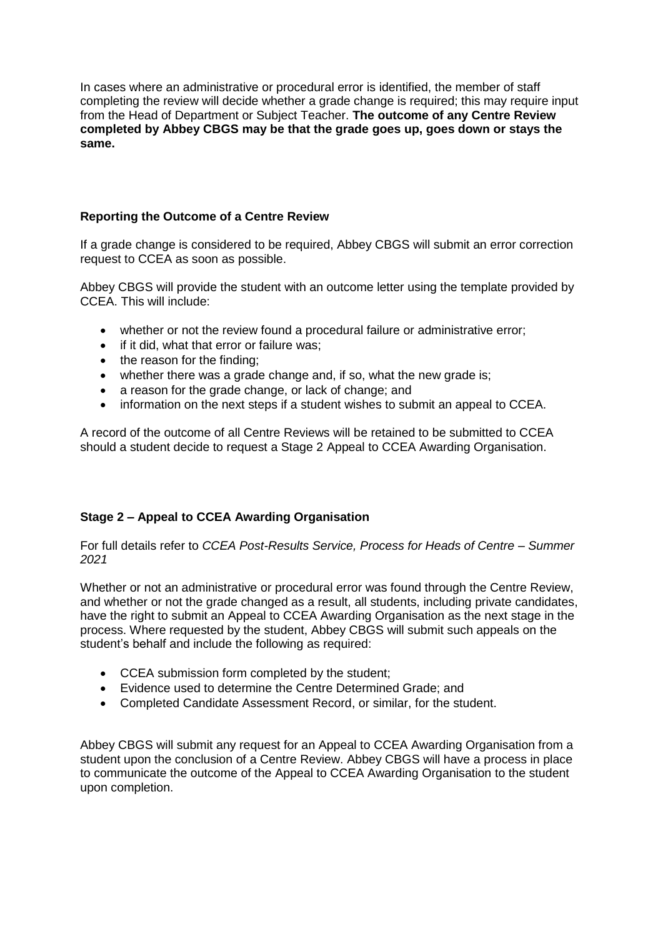In cases where an administrative or procedural error is identified, the member of staff completing the review will decide whether a grade change is required; this may require input from the Head of Department or Subject Teacher. **The outcome of any Centre Review completed by Abbey CBGS may be that the grade goes up, goes down or stays the same.**

#### **Reporting the Outcome of a Centre Review**

If a grade change is considered to be required, Abbey CBGS will submit an error correction request to CCEA as soon as possible.

Abbey CBGS will provide the student with an outcome letter using the template provided by CCEA. This will include:

- whether or not the review found a procedural failure or administrative error;
- if it did, what that error or failure was;
- the reason for the finding:
- whether there was a grade change and, if so, what the new grade is:
- a reason for the grade change, or lack of change; and
- information on the next steps if a student wishes to submit an appeal to CCEA.

A record of the outcome of all Centre Reviews will be retained to be submitted to CCEA should a student decide to request a Stage 2 Appeal to CCEA Awarding Organisation.

### **Stage 2 – Appeal to CCEA Awarding Organisation**

For full details refer to *CCEA Post-Results Service, Process for Heads of Centre – Summer 2021*

Whether or not an administrative or procedural error was found through the Centre Review, and whether or not the grade changed as a result, all students, including private candidates, have the right to submit an Appeal to CCEA Awarding Organisation as the next stage in the process. Where requested by the student, Abbey CBGS will submit such appeals on the student's behalf and include the following as required:

- CCEA submission form completed by the student;
- Evidence used to determine the Centre Determined Grade; and
- Completed Candidate Assessment Record, or similar, for the student.

Abbey CBGS will submit any request for an Appeal to CCEA Awarding Organisation from a student upon the conclusion of a Centre Review. Abbey CBGS will have a process in place to communicate the outcome of the Appeal to CCEA Awarding Organisation to the student upon completion.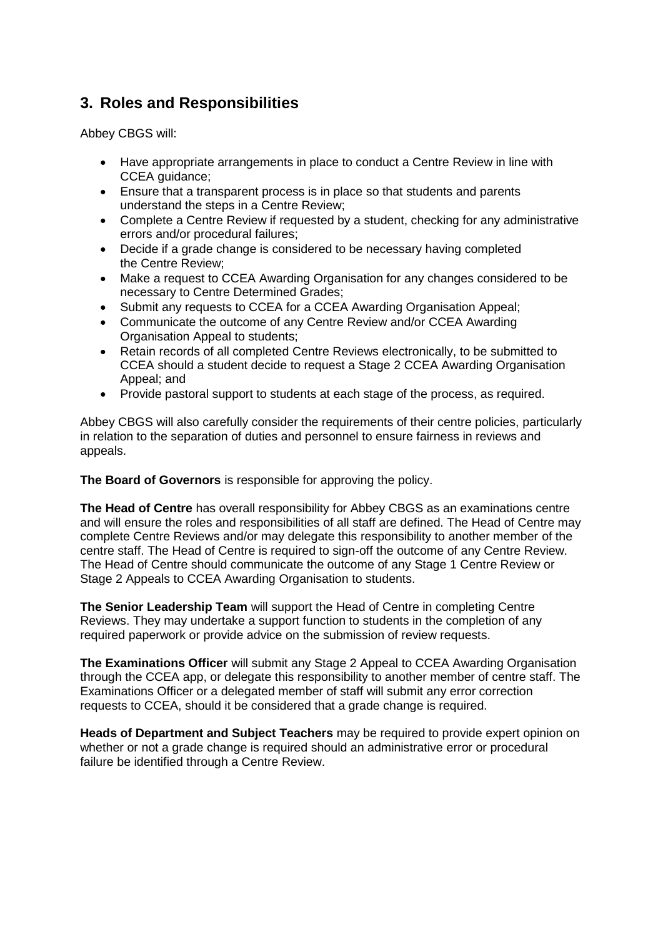# **3. Roles and Responsibilities**

Abbey CBGS will:

- Have appropriate arrangements in place to conduct a Centre Review in line with CCEA guidance;
- Ensure that a transparent process is in place so that students and parents understand the steps in a Centre Review;
- Complete a Centre Review if requested by a student, checking for any administrative errors and/or procedural failures;
- Decide if a grade change is considered to be necessary having completed the Centre Review;
- Make a request to CCEA Awarding Organisation for any changes considered to be necessary to Centre Determined Grades;
- Submit any requests to CCEA for a CCEA Awarding Organisation Appeal;
- Communicate the outcome of any Centre Review and/or CCEA Awarding Organisation Appeal to students;
- Retain records of all completed Centre Reviews electronically, to be submitted to CCEA should a student decide to request a Stage 2 CCEA Awarding Organisation Appeal; and
- Provide pastoral support to students at each stage of the process, as required.

Abbey CBGS will also carefully consider the requirements of their centre policies, particularly in relation to the separation of duties and personnel to ensure fairness in reviews and appeals.

**The Board of Governors** is responsible for approving the policy.

**The Head of Centre** has overall responsibility for Abbey CBGS as an examinations centre and will ensure the roles and responsibilities of all staff are defined. The Head of Centre may complete Centre Reviews and/or may delegate this responsibility to another member of the centre staff. The Head of Centre is required to sign-off the outcome of any Centre Review. The Head of Centre should communicate the outcome of any Stage 1 Centre Review or Stage 2 Appeals to CCEA Awarding Organisation to students.

**The Senior Leadership Team** will support the Head of Centre in completing Centre Reviews. They may undertake a support function to students in the completion of any required paperwork or provide advice on the submission of review requests.

**The Examinations Officer** will submit any Stage 2 Appeal to CCEA Awarding Organisation through the CCEA app, or delegate this responsibility to another member of centre staff. The Examinations Officer or a delegated member of staff will submit any error correction requests to CCEA, should it be considered that a grade change is required.

**Heads of Department and Subject Teachers** may be required to provide expert opinion on whether or not a grade change is required should an administrative error or procedural failure be identified through a Centre Review.